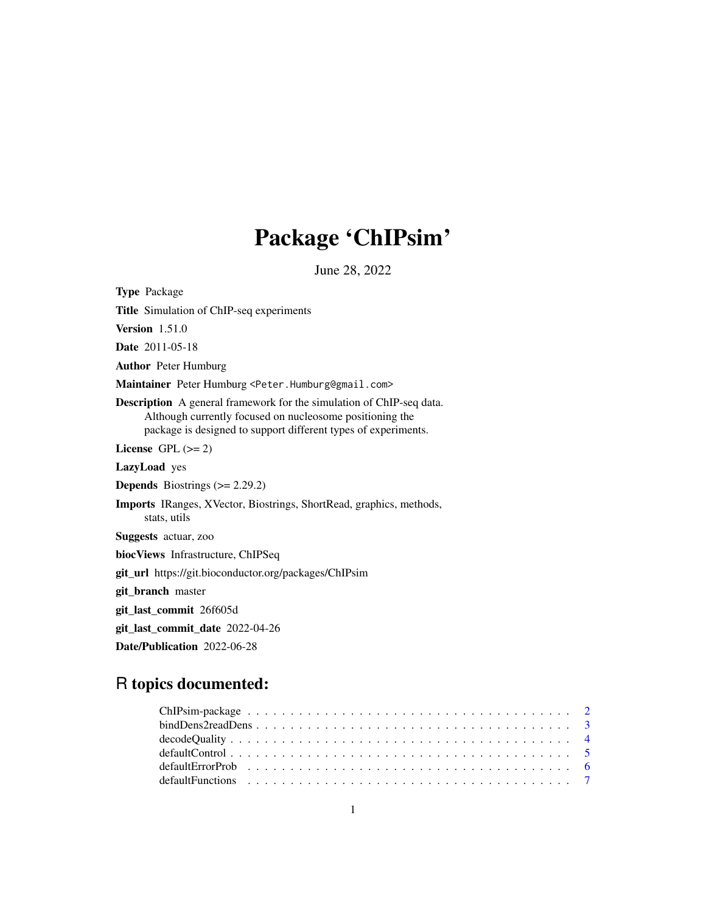# Package 'ChIPsim'

June 28, 2022

<span id="page-0-0"></span>

| <b>Type Package</b>                                                                                                                                                                                       |
|-----------------------------------------------------------------------------------------------------------------------------------------------------------------------------------------------------------|
| <b>Title</b> Simulation of ChIP-seq experiments                                                                                                                                                           |
| Version $1.51.0$                                                                                                                                                                                          |
| <b>Date</b> 2011-05-18                                                                                                                                                                                    |
| <b>Author</b> Peter Humburg                                                                                                                                                                               |
| Maintainer Peter Humburg <peter.humburg@gmail.com></peter.humburg@gmail.com>                                                                                                                              |
| <b>Description</b> A general framework for the simulation of ChIP-seq data.<br>Although currently focused on nucleosome positioning the<br>package is designed to support different types of experiments. |
| License GPL $(>= 2)$                                                                                                                                                                                      |
| LazyLoad yes                                                                                                                                                                                              |
| <b>Depends</b> Biostrings $(>= 2.29.2)$                                                                                                                                                                   |
| <b>Imports</b> IRanges, XVector, Biostrings, ShortRead, graphics, methods,<br>stats, utils                                                                                                                |
| Suggests actuar, zoo                                                                                                                                                                                      |
| bioc Views Infrastructure, ChIPSeq                                                                                                                                                                        |
| git_url https://git.bioconductor.org/packages/ChIPsim                                                                                                                                                     |
| git_branch master                                                                                                                                                                                         |
| git_last_commit 26f605d                                                                                                                                                                                   |
| git_last_commit_date 2022-04-26                                                                                                                                                                           |
| Date/Publication 2022-06-28                                                                                                                                                                               |

## R topics documented:

| $bindDens2readDens \ldots \ldots \ldots \ldots \ldots \ldots \ldots \ldots \ldots \ldots \ldots \ldots 3$ |  |
|-----------------------------------------------------------------------------------------------------------|--|
|                                                                                                           |  |
|                                                                                                           |  |
|                                                                                                           |  |
|                                                                                                           |  |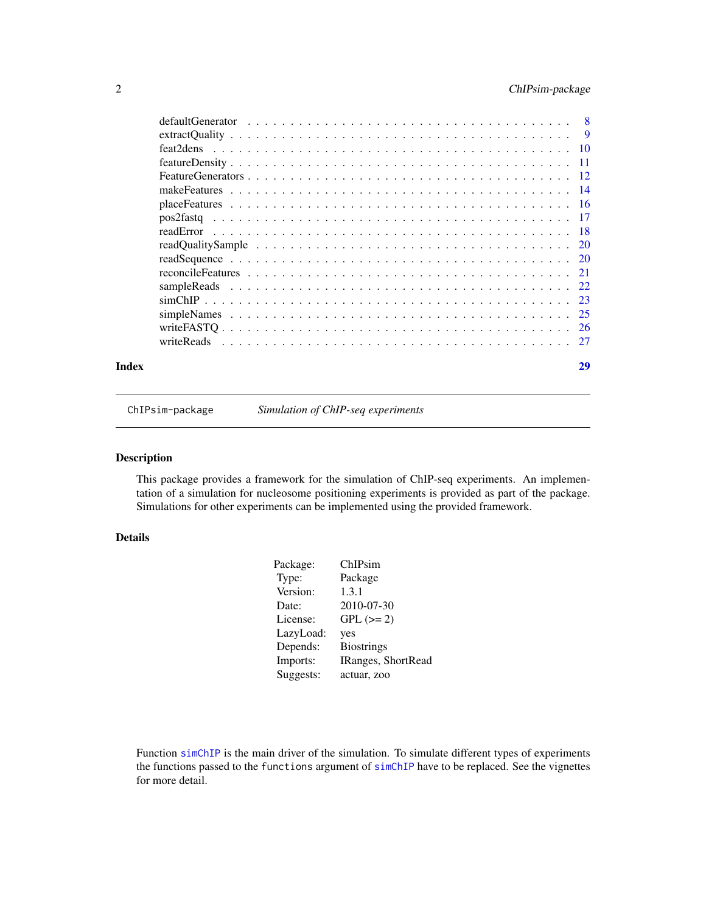### <span id="page-1-0"></span>2 ChIPsim-package

| Index | 29 |
|-------|----|
|       |    |
|       |    |
|       |    |
|       |    |
|       |    |
|       |    |
|       |    |
|       |    |
|       |    |
|       |    |
|       |    |
|       |    |
|       |    |
|       |    |
|       |    |
|       |    |
|       |    |

ChIPsim-package *Simulation of ChIP-seq experiments*

#### Description

This package provides a framework for the simulation of ChIP-seq experiments. An implementation of a simulation for nucleosome positioning experiments is provided as part of the package. Simulations for other experiments can be implemented using the provided framework.

#### Details

| Package:  | ChIPsim            |
|-----------|--------------------|
| Type:     | Package            |
| Version:  | 1.3.1              |
| Date:     | 2010-07-30         |
| License:  | $GPL (= 2)$        |
| LazyLoad: | yes                |
| Depends:  | <b>Biostrings</b>  |
| Imports:  | IRanges, ShortRead |
| Suggests: | actuar, zoo        |
|           |                    |

Function [simChIP](#page-22-1) is the main driver of the simulation. To simulate different types of experiments the functions passed to the functions argument of [simChIP](#page-22-1) have to be replaced. See the vignettes for more detail.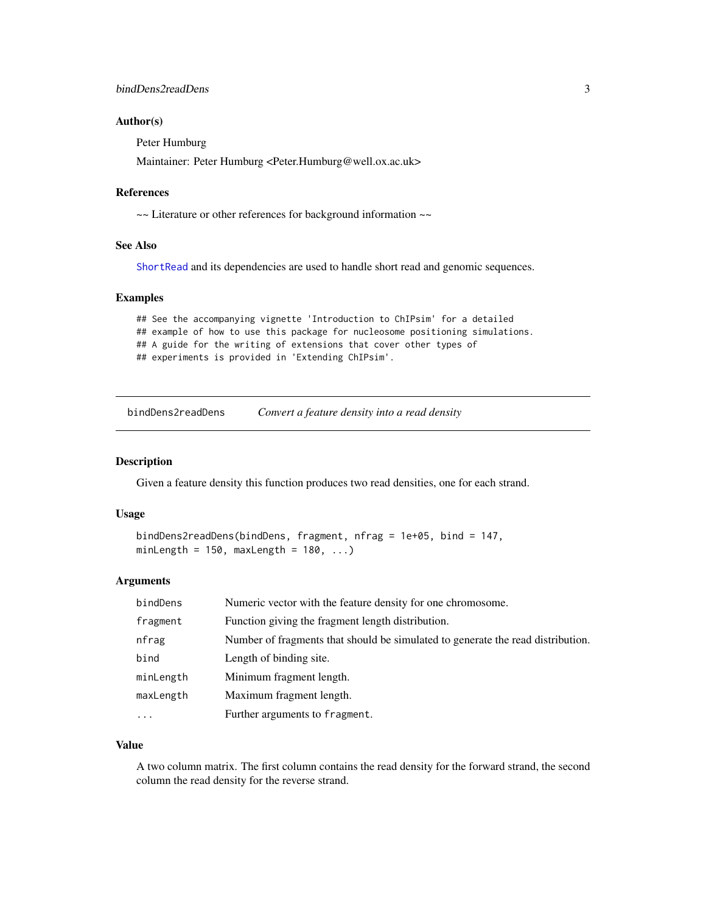#### <span id="page-2-0"></span>Author(s)

Peter Humburg

Maintainer: Peter Humburg <Peter.Humburg@well.ox.ac.uk>

#### References

~~ Literature or other references for background information ~~

#### See Also

[ShortRead](#page-0-0) and its dependencies are used to handle short read and genomic sequences.

#### Examples

```
## See the accompanying vignette 'Introduction to ChIPsim' for a detailed
## example of how to use this package for nucleosome positioning simulations.
## A guide for the writing of extensions that cover other types of
## experiments is provided in 'Extending ChIPsim'.
```
<span id="page-2-1"></span>bindDens2readDens *Convert a feature density into a read density*

#### Description

Given a feature density this function produces two read densities, one for each strand.

#### Usage

```
bindDens2readDens(bindDens, fragment, nfrag = 1e+05, bind = 147,
minLength = 150, maxLength = 180, ...)
```
#### Arguments

| bindDens  | Numeric vector with the feature density for one chromosome.                     |
|-----------|---------------------------------------------------------------------------------|
| fragment  | Function giving the fragment length distribution.                               |
| nfrag     | Number of fragments that should be simulated to generate the read distribution. |
| bind      | Length of binding site.                                                         |
| minLength | Minimum fragment length.                                                        |
| maxLength | Maximum fragment length.                                                        |
| $\ddotsc$ | Further arguments to fragment.                                                  |

#### Value

A two column matrix. The first column contains the read density for the forward strand, the second column the read density for the reverse strand.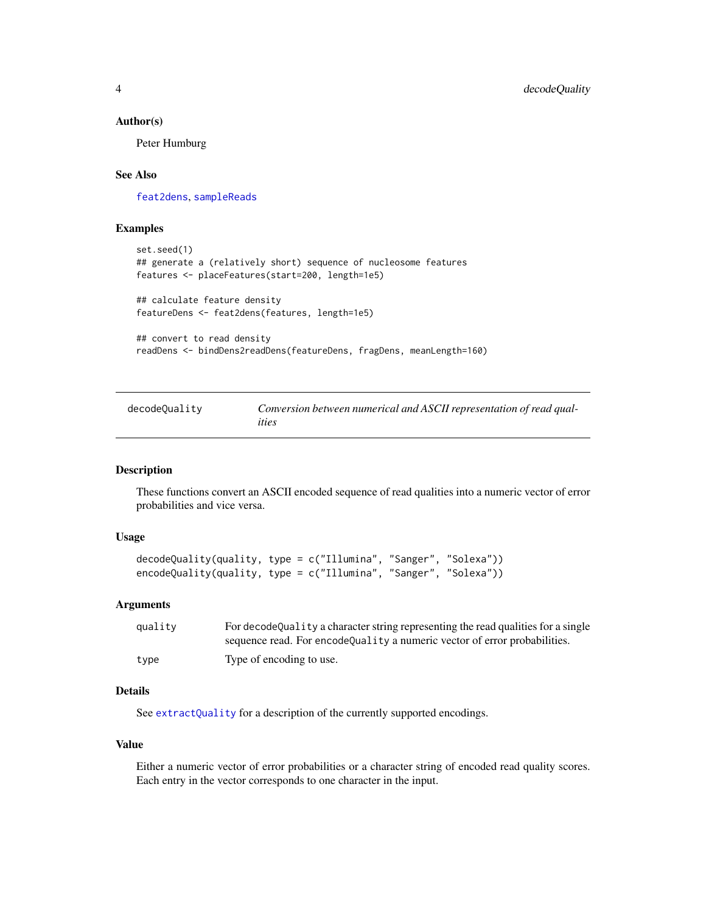#### <span id="page-3-0"></span>Author(s)

Peter Humburg

#### See Also

[feat2dens](#page-9-1), [sampleReads](#page-21-1)

#### Examples

```
set.seed(1)
## generate a (relatively short) sequence of nucleosome features
features <- placeFeatures(start=200, length=1e5)
## calculate feature density
featureDens <- feat2dens(features, length=1e5)
## convert to read density
```
readDens <- bindDens2readDens(featureDens, fragDens, meanLength=160)

<span id="page-3-1"></span>

| decodeQuality | Conversion between numerical and ASCII representation of read qual- |
|---------------|---------------------------------------------------------------------|
|               | ities                                                               |

#### Description

These functions convert an ASCII encoded sequence of read qualities into a numeric vector of error probabilities and vice versa.

#### Usage

```
decodeQuality(quality, type = c("Illumina", "Sanger", "Solexa"))
encodeQuality(quality, type = c("Illumina", "Sanger", "Solexa"))
```
#### Arguments

| quality | For decode Quality a character string representing the read qualities for a single |
|---------|------------------------------------------------------------------------------------|
|         | sequence read. For encodeQuality a numeric vector of error probabilities.          |
| type    | Type of encoding to use.                                                           |

#### Details

See [extractQuality](#page-8-1) for a description of the currently supported encodings.

#### Value

Either a numeric vector of error probabilities or a character string of encoded read quality scores. Each entry in the vector corresponds to one character in the input.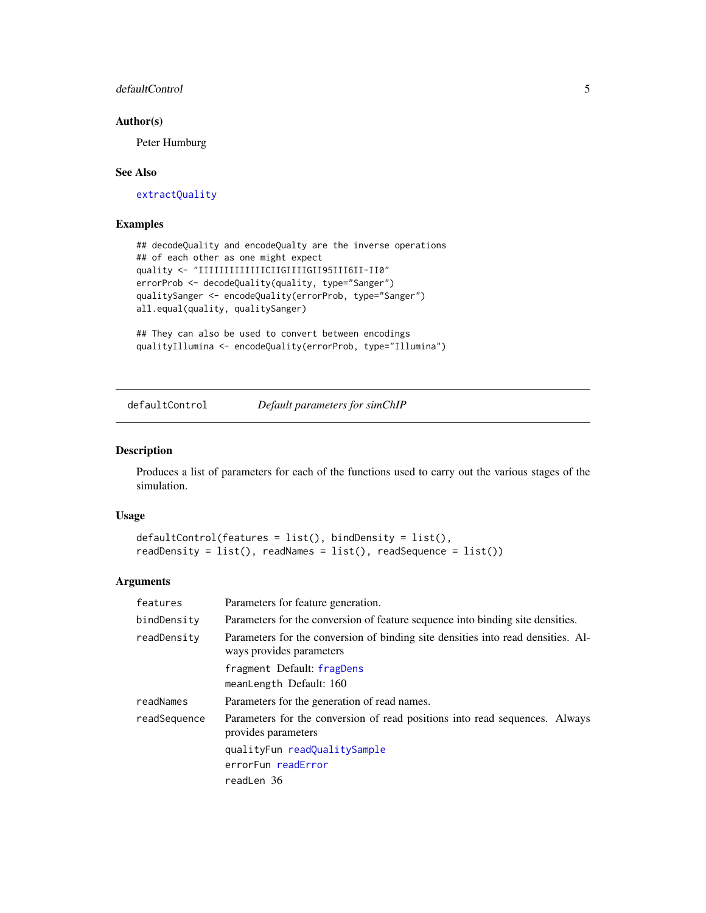#### <span id="page-4-0"></span>defaultControl 5

#### Author(s)

Peter Humburg

#### See Also

[extractQuality](#page-8-1)

#### Examples

```
## decodeQuality and encodeQualty are the inverse operations
## of each other as one might expect
quality <- "IIIIIIIIIIIIICIIGIIIIGII95III6II-II0"
errorProb <- decodeQuality(quality, type="Sanger")
qualitySanger <- encodeQuality(errorProb, type="Sanger")
all.equal(quality, qualitySanger)
```

```
## They can also be used to convert between encodings
qualityIllumina <- encodeQuality(errorProb, type="Illumina")
```
<span id="page-4-1"></span>defaultControl *Default parameters for simChIP*

#### Description

Produces a list of parameters for each of the functions used to carry out the various stages of the simulation.

#### Usage

```
defaultControl(features = list(), bindDensity = list(),
readDensity = list(), readNames = list(), readSequence = list())
```
#### Arguments

| features     | Parameters for feature generation.                                                                           |
|--------------|--------------------------------------------------------------------------------------------------------------|
| bindDensity  | Parameters for the conversion of feature sequence into binding site densities.                               |
| readDensity  | Parameters for the conversion of binding site densities into read densities. Al-<br>ways provides parameters |
|              | fragment Default: fragDens                                                                                   |
|              | meanLength Default: 160                                                                                      |
| readNames    | Parameters for the generation of read names.                                                                 |
| readSequence | Parameters for the conversion of read positions into read sequences. Always<br>provides parameters           |
|              | qualityFun readQualitySample                                                                                 |
|              | errorFun readError                                                                                           |
|              | readLen 36                                                                                                   |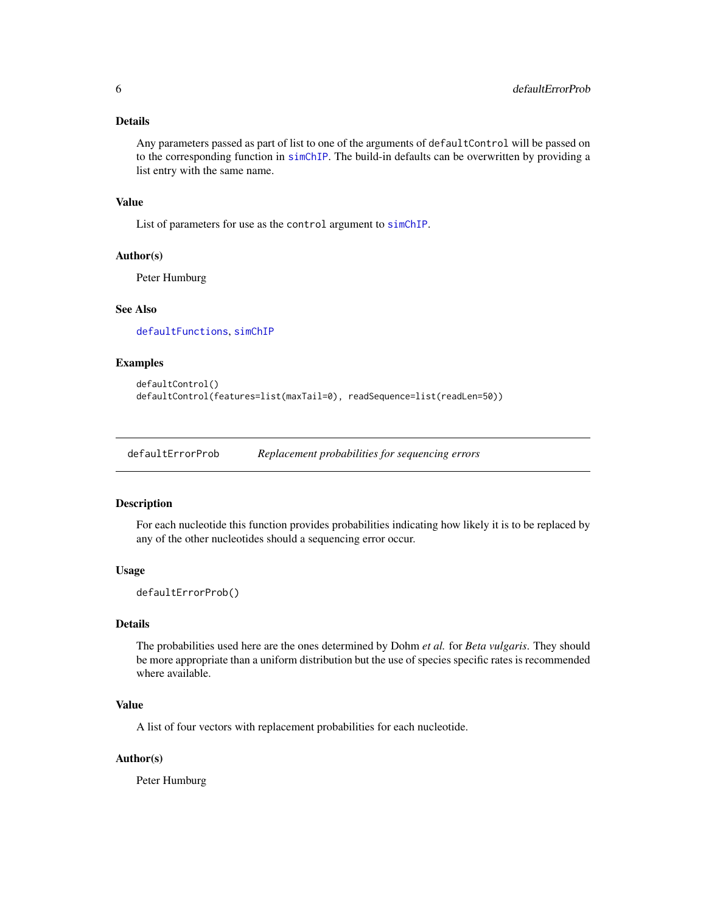#### <span id="page-5-0"></span>Details

Any parameters passed as part of list to one of the arguments of defaultControl will be passed on to the corresponding function in [simChIP](#page-22-1). The build-in defaults can be overwritten by providing a list entry with the same name.

#### Value

List of parameters for use as the control argument to [simChIP](#page-22-1).

#### Author(s)

Peter Humburg

#### See Also

[defaultFunctions](#page-6-1), [simChIP](#page-22-1)

#### Examples

```
defaultControl()
defaultControl(features=list(maxTail=0), readSequence=list(readLen=50))
```
<span id="page-5-1"></span>defaultErrorProb *Replacement probabilities for sequencing errors*

#### Description

For each nucleotide this function provides probabilities indicating how likely it is to be replaced by any of the other nucleotides should a sequencing error occur.

#### Usage

defaultErrorProb()

#### Details

The probabilities used here are the ones determined by Dohm *et al.* for *Beta vulgaris*. They should be more appropriate than a uniform distribution but the use of species specific rates is recommended where available.

#### Value

A list of four vectors with replacement probabilities for each nucleotide.

#### Author(s)

Peter Humburg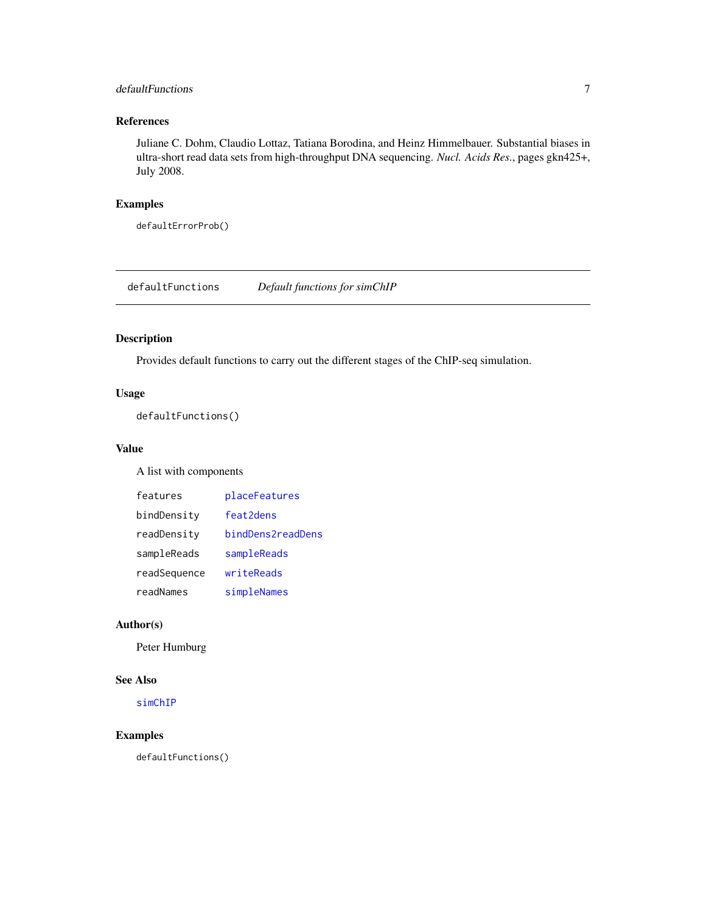### <span id="page-6-0"></span>defaultFunctions 7

#### References

Juliane C. Dohm, Claudio Lottaz, Tatiana Borodina, and Heinz Himmelbauer. Substantial biases in ultra-short read data sets from high-throughput DNA sequencing. *Nucl. Acids Res.*, pages gkn425+, July 2008.

#### Examples

defaultErrorProb()

<span id="page-6-1"></span>defaultFunctions *Default functions for simChIP*

#### Description

Provides default functions to carry out the different stages of the ChIP-seq simulation.

#### Usage

```
defaultFunctions()
```
#### Value

A list with components

| features     | placeFeatures     |
|--------------|-------------------|
| bindDensity  | feat2dens         |
| readDensity  | bindDens2readDens |
| sampleReads  | sampleReads       |
| readSequence | writeReads        |
| readNames    | simpleNames       |

#### Author(s)

Peter Humburg

### See Also

[simChIP](#page-22-1)

### Examples

defaultFunctions()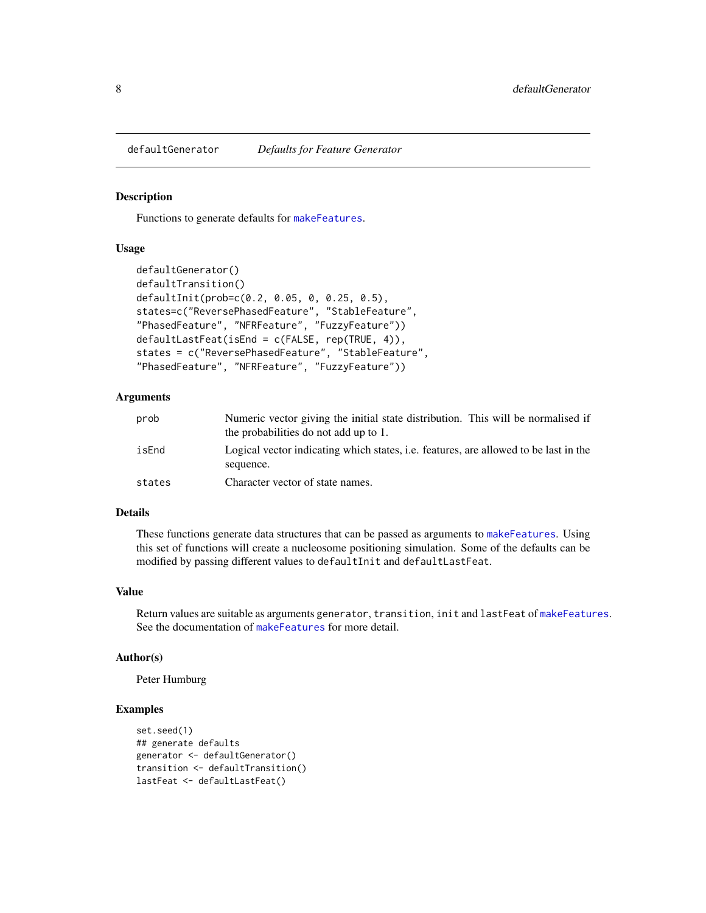<span id="page-7-1"></span><span id="page-7-0"></span>defaultGenerator *Defaults for Feature Generator*

#### <span id="page-7-2"></span>Description

Functions to generate defaults for [makeFeatures](#page-13-1).

#### Usage

```
defaultGenerator()
defaultTransition()
defaultInit(prob=c(0.2, 0.05, 0, 0.25, 0.5),
states=c("ReversePhasedFeature", "StableFeature",
"PhasedFeature", "NFRFeature", "FuzzyFeature"))
defaultLastFeat(isEnd = c(FALSE, rep(TRUE, 4)),
states = c("ReversePhasedFeature", "StableFeature",
"PhasedFeature", "NFRFeature", "FuzzyFeature"))
```
#### **Arguments**

| prob   | Numeric vector giving the initial state distribution. This will be normalised if<br>the probabilities do not add up to 1. |
|--------|---------------------------------------------------------------------------------------------------------------------------|
| isEnd  | Logical vector indicating which states, i.e. features, are allowed to be last in the<br>sequence.                         |
| states | Character vector of state names.                                                                                          |

#### Details

These functions generate data structures that can be passed as arguments to [makeFeatures](#page-13-1). Using this set of functions will create a nucleosome positioning simulation. Some of the defaults can be modified by passing different values to defaultInit and defaultLastFeat.

#### Value

Return values are suitable as arguments generator, transition, init and lastFeat of [makeFeatures](#page-13-1). See the documentation of [makeFeatures](#page-13-1) for more detail.

#### Author(s)

Peter Humburg

#### Examples

```
set.seed(1)
## generate defaults
generator <- defaultGenerator()
transition <- defaultTransition()
lastFeat <- defaultLastFeat()
```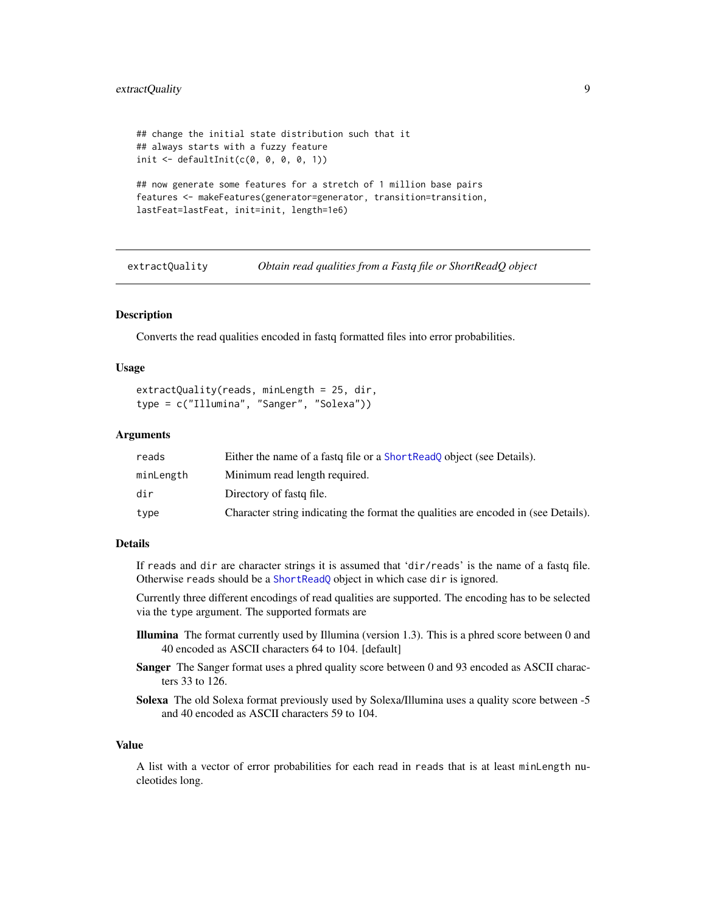```
## change the initial state distribution such that it
## always starts with a fuzzy feature
init \leq defaultInit(c(0, 0, 0, 0, 1))
## now generate some features for a stretch of 1 million base pairs
features <- makeFeatures(generator=generator, transition=transition,
lastFeat=lastFeat, init=init, length=1e6)
```
<span id="page-8-1"></span>extractQuality *Obtain read qualities from a Fastq file or ShortReadQ object*

#### Description

Converts the read qualities encoded in fastq formatted files into error probabilities.

#### Usage

```
extractQuality(reads, minLength = 25, dir,
type = c("Illumina", "Sanger", "Solexa"))
```
#### Arguments

| reads     | Either the name of a fast of file or a Short Read object (see Details).            |
|-----------|------------------------------------------------------------------------------------|
| minLength | Minimum read length required.                                                      |
| dir       | Directory of fastg file.                                                           |
| type      | Character string indicating the format the qualities are encoded in (see Details). |

#### Details

If reads and dir are character strings it is assumed that 'dir/reads' is the name of a fastq file. Otherwise reads should be a [ShortReadQ](#page-0-0) object in which case dir is ignored.

Currently three different encodings of read qualities are supported. The encoding has to be selected via the type argument. The supported formats are

- Illumina The format currently used by Illumina (version 1.3). This is a phred score between 0 and 40 encoded as ASCII characters 64 to 104. [default]
- Sanger The Sanger format uses a phred quality score between 0 and 93 encoded as ASCII characters 33 to 126.
- Solexa The old Solexa format previously used by Solexa/Illumina uses a quality score between -5 and 40 encoded as ASCII characters 59 to 104.

#### Value

A list with a vector of error probabilities for each read in reads that is at least minLength nucleotides long.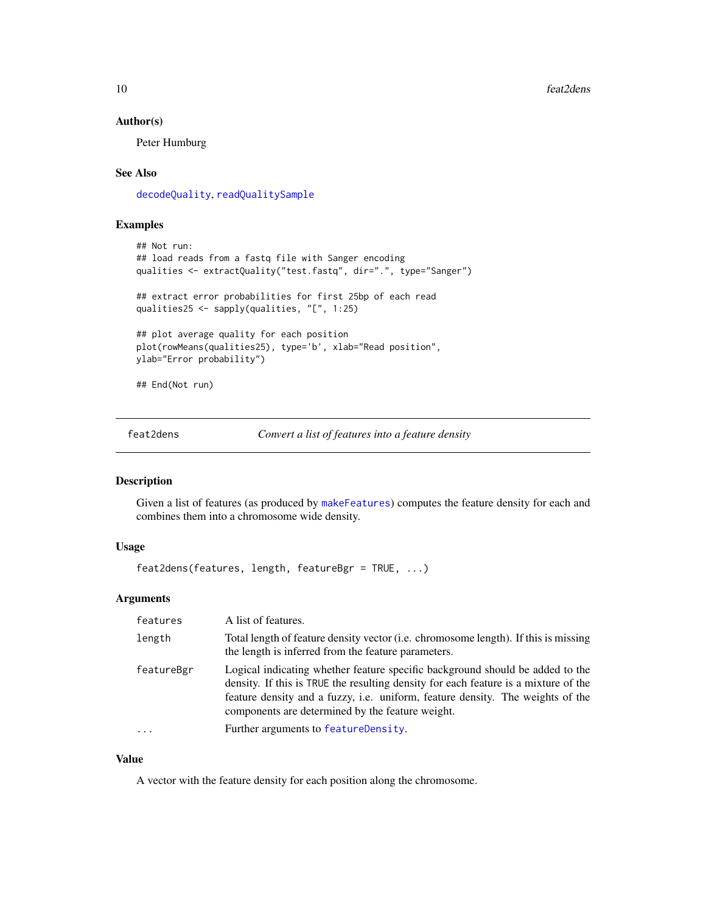#### Author(s)

Peter Humburg

#### See Also

[decodeQuality](#page-3-1), [readQualitySample](#page-19-1)

#### Examples

```
## Not run:
## load reads from a fastq file with Sanger encoding
qualities <- extractQuality("test.fastq", dir=".", type="Sanger")
## extract error probabilities for first 25bp of each read
qualities25 <- sapply(qualities, "[", 1:25)
## plot average quality for each position
plot(rowMeans(qualities25), type='b', xlab="Read position",
ylab="Error probability")
## End(Not run)
```
<span id="page-9-1"></span>

feat2dens *Convert a list of features into a feature density*

#### Description

Given a list of features (as produced by [makeFeatures](#page-13-1)) computes the feature density for each and combines them into a chromosome wide density.

#### Usage

feat2dens(features, length, featureBgr = TRUE, ...)

#### Arguments

| features   | A list of features.                                                                                                                                                                                                                                                                                        |
|------------|------------------------------------------------------------------------------------------------------------------------------------------------------------------------------------------------------------------------------------------------------------------------------------------------------------|
| length     | Total length of feature density vector ( <i>i.e.</i> chromosome length). If this is missing<br>the length is inferred from the feature parameters.                                                                                                                                                         |
| featureBgr | Logical indicating whether feature specific background should be added to the<br>density. If this is TRUE the resulting density for each feature is a mixture of the<br>feature density and a fuzzy, i.e. uniform, feature density. The weights of the<br>components are determined by the feature weight. |
| $\ddotsc$  | Further arguments to featureDensity.                                                                                                                                                                                                                                                                       |

#### Value

A vector with the feature density for each position along the chromosome.

<span id="page-9-0"></span>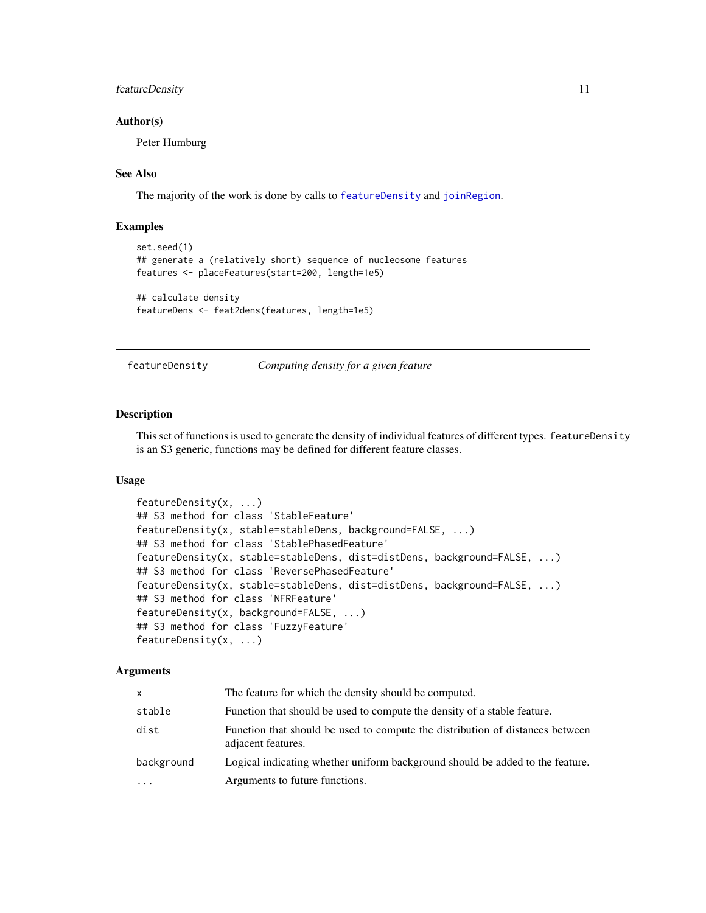#### <span id="page-10-0"></span>featureDensity 11

#### Author(s)

Peter Humburg

#### See Also

The majority of the work is done by calls to [featureDensity](#page-10-1) and [joinRegion](#page-0-0).

#### Examples

```
set.seed(1)
## generate a (relatively short) sequence of nucleosome features
features <- placeFeatures(start=200, length=1e5)
## calculate density
```

```
featureDens <- feat2dens(features, length=1e5)
```
<span id="page-10-1"></span>

featureDensity *Computing density for a given feature*

#### **Description**

This set of functions is used to generate the density of individual features of different types. featureDensity is an S3 generic, functions may be defined for different feature classes.

#### Usage

```
featureDensity(x, ...)
## S3 method for class 'StableFeature'
featureDensity(x, stable=stableDens, background=FALSE, ...)
## S3 method for class 'StablePhasedFeature'
featureDensity(x, stable=stableDens, dist=distDens, background=FALSE, ...)
## S3 method for class 'ReversePhasedFeature'
featureDensity(x, stable=stableDens, dist=distDens, background=FALSE, ...)
## S3 method for class 'NFRFeature'
featureDensity(x, background=FALSE, ...)
## S3 method for class 'FuzzyFeature'
featureDensity(x, ...)
```
#### **Arguments**

| X          | The feature for which the density should be computed.                                               |
|------------|-----------------------------------------------------------------------------------------------------|
| stable     | Function that should be used to compute the density of a stable feature.                            |
| dist       | Function that should be used to compute the distribution of distances between<br>adjacent features. |
| background | Logical indicating whether uniform background should be added to the feature.                       |
| $\cdots$   | Arguments to future functions.                                                                      |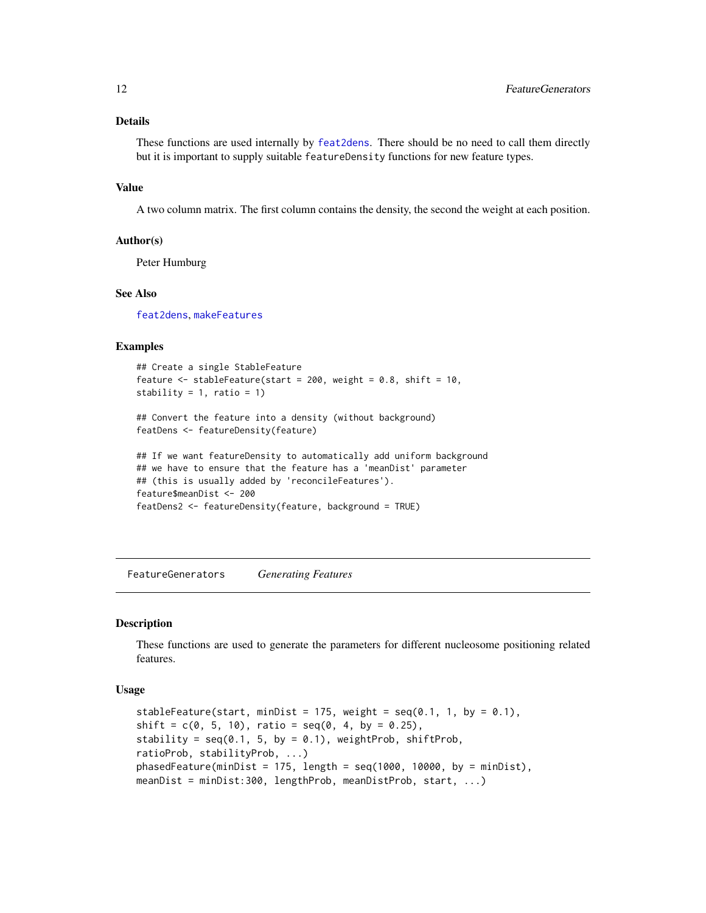#### <span id="page-11-0"></span>Details

These functions are used internally by [feat2dens](#page-9-1). There should be no need to call them directly but it is important to supply suitable featureDensity functions for new feature types.

#### Value

A two column matrix. The first column contains the density, the second the weight at each position.

#### Author(s)

Peter Humburg

#### See Also

[feat2dens](#page-9-1), [makeFeatures](#page-13-1)

#### Examples

```
## Create a single StableFeature
feature \le stableFeature(start = 200, weight = 0.8, shift = 10,
stability = 1, ratio = 1)
```
## Convert the feature into a density (without background) featDens <- featureDensity(feature)

```
## If we want featureDensity to automatically add uniform background
## we have to ensure that the feature has a 'meanDist' parameter
## (this is usually added by 'reconcileFeatures').
feature$meanDist <- 200
featDens2 <- featureDensity(feature, background = TRUE)
```
FeatureGenerators *Generating Features*

#### **Description**

These functions are used to generate the parameters for different nucleosome positioning related features.

#### Usage

```
stableFeature(start, minDist = 175, weight = seq(0.1, 1, by = 0.1),
shift = c(0, 5, 10), ratio = seq(0, 4, by = 0.25),
stability = seq(0.1, 5, by = 0.1), weightProb, shiftProb,
ratioProb, stabilityProb, ...)
phasedFeature(minDist = 175, length = seq(1000, 10000, by = minDist),meanDist = minDist:300, lengthProb, meanDistProb, start, ...)
```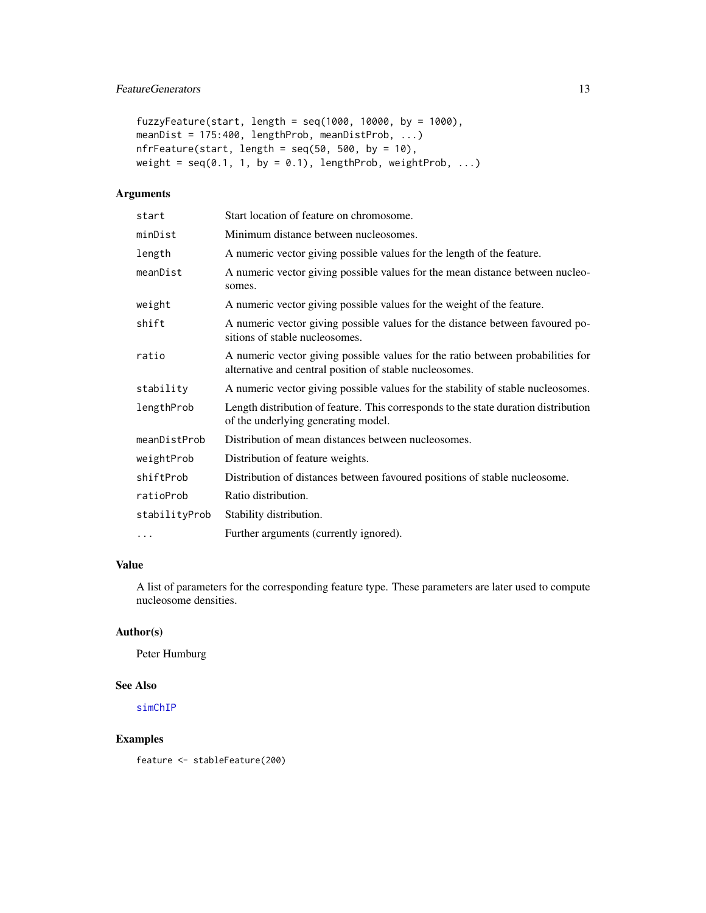#### <span id="page-12-0"></span>FeatureGenerators 13

```
fuzzyFeature(start, length = seq(1000, 10000, by = 1000),
meanDist = 175:400, lengthProb, meanDistProb, ...)
nfrFeature(start, length = seq(50, 500, by = 10),weight = seq(0.1, 1, by = 0.1), lengthProb, weightProb, ...)
```
#### Arguments

| start         | Start location of feature on chromosome.                                                                                                   |
|---------------|--------------------------------------------------------------------------------------------------------------------------------------------|
| minDist       | Minimum distance between nucleosomes.                                                                                                      |
| length        | A numeric vector giving possible values for the length of the feature.                                                                     |
| meanDist      | A numeric vector giving possible values for the mean distance between nucleo-<br>somes.                                                    |
| weight        | A numeric vector giving possible values for the weight of the feature.                                                                     |
| shift         | A numeric vector giving possible values for the distance between favoured po-<br>sitions of stable nucleosomes.                            |
| ratio         | A numeric vector giving possible values for the ratio between probabilities for<br>alternative and central position of stable nucleosomes. |
| stability     | A numeric vector giving possible values for the stability of stable nucleosomes.                                                           |
| lengthProb    | Length distribution of feature. This corresponds to the state duration distribution<br>of the underlying generating model.                 |
| meanDistProb  | Distribution of mean distances between nucleosomes.                                                                                        |
| weightProb    | Distribution of feature weights.                                                                                                           |
| shiftProb     | Distribution of distances between favoured positions of stable nucleosome.                                                                 |
| ratioProb     | Ratio distribution.                                                                                                                        |
| stabilityProb | Stability distribution.                                                                                                                    |
| $\cdots$      | Further arguments (currently ignored).                                                                                                     |

#### Value

A list of parameters for the corresponding feature type. These parameters are later used to compute nucleosome densities.

#### Author(s)

Peter Humburg

#### See Also

[simChIP](#page-22-1)

#### Examples

feature <- stableFeature(200)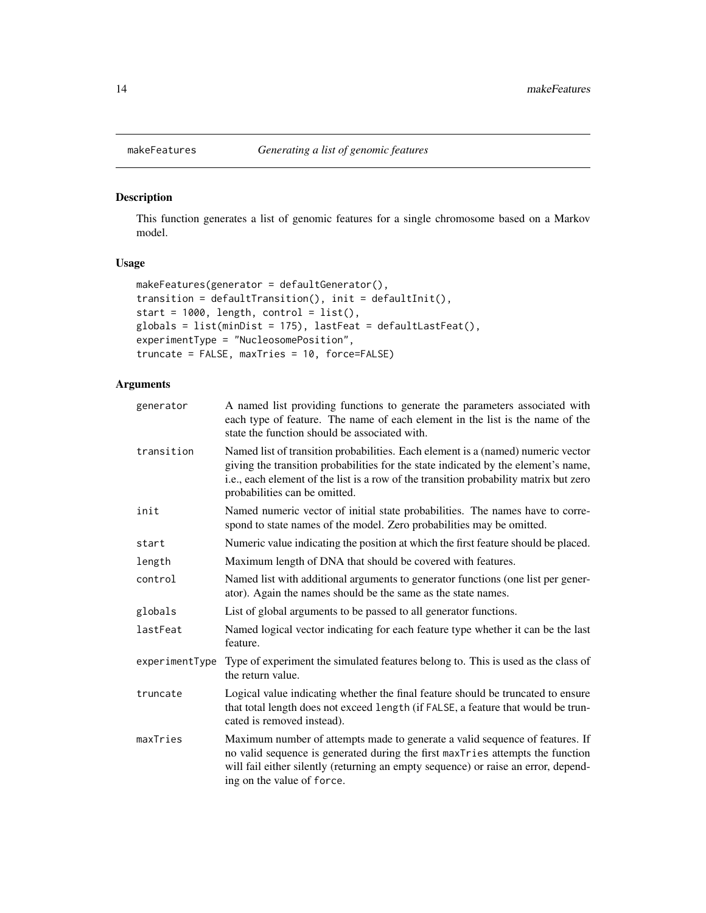#### Description

This function generates a list of genomic features for a single chromosome based on a Markov model.

#### Usage

```
makeFeatures(generator = defaultGenerator(),
transition = defaultTransition(), init = defaultInit(),
start = 1000, length, control = list(),
globals = list(minDist = 175), lastFeat = defaultLastFeat(),
experimentType = "NucleosomePosition",
truncate = FALSE, maxTries = 10, force=FALSE)
```
#### Arguments

| generator      | A named list providing functions to generate the parameters associated with<br>each type of feature. The name of each element in the list is the name of the<br>state the function should be associated with.                                                                                    |
|----------------|--------------------------------------------------------------------------------------------------------------------------------------------------------------------------------------------------------------------------------------------------------------------------------------------------|
| transition     | Named list of transition probabilities. Each element is a (named) numeric vector<br>giving the transition probabilities for the state indicated by the element's name,<br>i.e., each element of the list is a row of the transition probability matrix but zero<br>probabilities can be omitted. |
| init           | Named numeric vector of initial state probabilities. The names have to corre-<br>spond to state names of the model. Zero probabilities may be omitted.                                                                                                                                           |
| start          | Numeric value indicating the position at which the first feature should be placed.                                                                                                                                                                                                               |
| length         | Maximum length of DNA that should be covered with features.                                                                                                                                                                                                                                      |
| control        | Named list with additional arguments to generator functions (one list per gener-<br>ator). Again the names should be the same as the state names.                                                                                                                                                |
| globals        | List of global arguments to be passed to all generator functions.                                                                                                                                                                                                                                |
| lastFeat       | Named logical vector indicating for each feature type whether it can be the last<br>feature.                                                                                                                                                                                                     |
| experimentType | Type of experiment the simulated features belong to. This is used as the class of<br>the return value.                                                                                                                                                                                           |
| truncate       | Logical value indicating whether the final feature should be truncated to ensure<br>that total length does not exceed length (if FALSE, a feature that would be trun-<br>cated is removed instead).                                                                                              |
| maxTries       | Maximum number of attempts made to generate a valid sequence of features. If<br>no valid sequence is generated during the first maxTries attempts the function<br>will fail either silently (returning an empty sequence) or raise an error, depend-<br>ing on the value of force.               |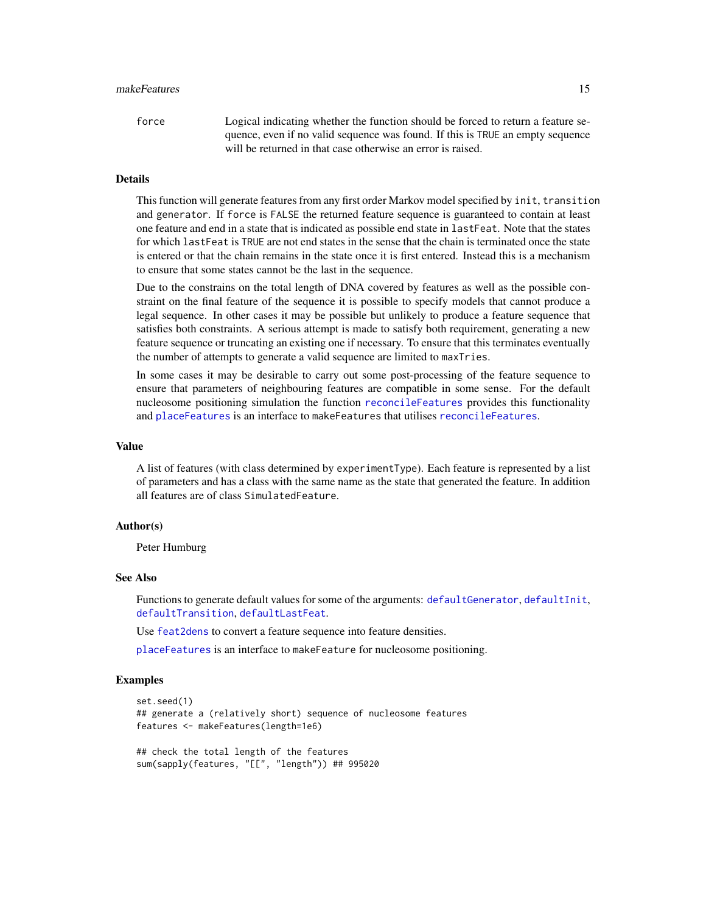#### <span id="page-14-0"></span>makeFeatures 15

force Logical indicating whether the function should be forced to return a feature sequence, even if no valid sequence was found. If this is TRUE an empty sequence will be returned in that case otherwise an error is raised.

#### Details

This function will generate features from any first order Markov model specified by init, transition and generator. If force is FALSE the returned feature sequence is guaranteed to contain at least one feature and end in a state that is indicated as possible end state in lastFeat. Note that the states for which lastFeat is TRUE are not end states in the sense that the chain is terminated once the state is entered or that the chain remains in the state once it is first entered. Instead this is a mechanism to ensure that some states cannot be the last in the sequence.

Due to the constrains on the total length of DNA covered by features as well as the possible constraint on the final feature of the sequence it is possible to specify models that cannot produce a legal sequence. In other cases it may be possible but unlikely to produce a feature sequence that satisfies both constraints. A serious attempt is made to satisfy both requirement, generating a new feature sequence or truncating an existing one if necessary. To ensure that this terminates eventually the number of attempts to generate a valid sequence are limited to maxTries.

In some cases it may be desirable to carry out some post-processing of the feature sequence to ensure that parameters of neighbouring features are compatible in some sense. For the default nucleosome positioning simulation the function [reconcileFeatures](#page-20-1) provides this functionality and [placeFeatures](#page-15-1) is an interface to makeFeatures that utilises [reconcileFeatures](#page-20-1).

#### Value

A list of features (with class determined by experimentType). Each feature is represented by a list of parameters and has a class with the same name as the state that generated the feature. In addition all features are of class SimulatedFeature.

#### Author(s)

Peter Humburg

#### See Also

Functions to generate default values for some of the arguments: [defaultGenerator](#page-7-1), [defaultInit](#page-7-2), [defaultTransition](#page-7-2), [defaultLastFeat](#page-7-2).

Use [feat2dens](#page-9-1) to convert a feature sequence into feature densities.

[placeFeatures](#page-15-1) is an interface to makeFeature for nucleosome positioning.

#### Examples

```
set.seed(1)
## generate a (relatively short) sequence of nucleosome features
features <- makeFeatures(length=1e6)
## check the total length of the features
sum(sapply(features, "[[", "length")) ## 995020
```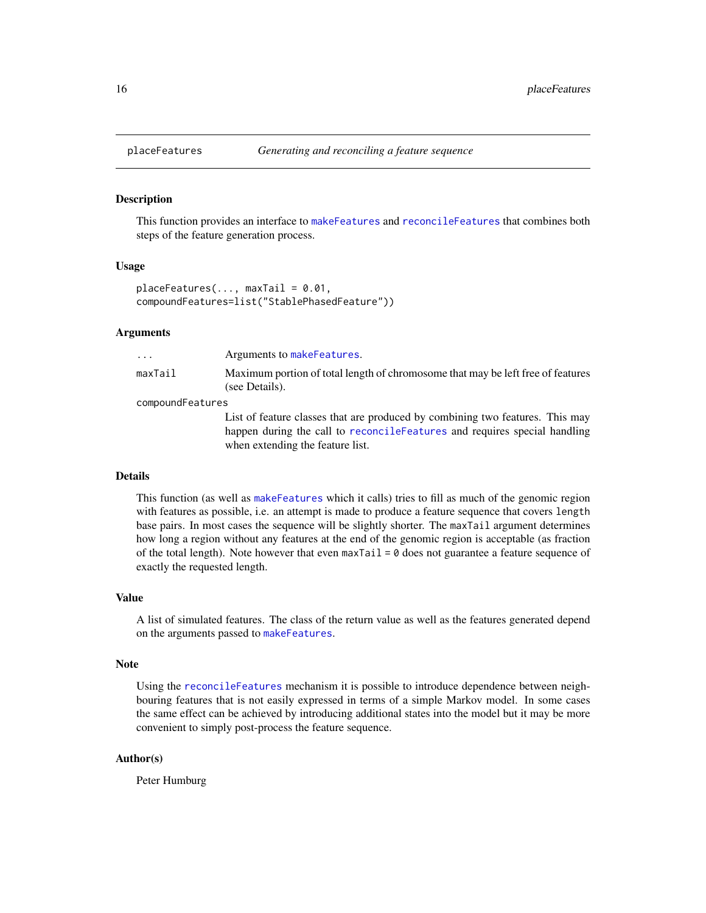#### **Description**

This function provides an interface to [makeFeatures](#page-13-1) and [reconcileFeatures](#page-20-1) that combines both steps of the feature generation process.

#### Usage

```
placeFeatures(..., maxTail = 0.01,compoundFeatures=list("StablePhasedFeature"))
```
when extending the feature list.

#### Arguments

| .                | Arguments to makeFeatures.                                                                        |  |
|------------------|---------------------------------------------------------------------------------------------------|--|
| maxTail          | Maximum portion of total length of chromosome that may be left free of features<br>(see Details). |  |
| compoundFeatures |                                                                                                   |  |
|                  | List of feature classes that are produced by combining two features. This may                     |  |
|                  | happen during the call to reconcileFeatures and requires special handling                         |  |

#### Details

This function (as well as [makeFeatures](#page-13-1) which it calls) tries to fill as much of the genomic region with features as possible, i.e. an attempt is made to produce a feature sequence that covers length base pairs. In most cases the sequence will be slightly shorter. The maxTail argument determines how long a region without any features at the end of the genomic region is acceptable (as fraction of the total length). Note however that even maxTail =  $\theta$  does not guarantee a feature sequence of exactly the requested length.

#### Value

A list of simulated features. The class of the return value as well as the features generated depend on the arguments passed to [makeFeatures](#page-13-1).

#### Note

Using the [reconcileFeatures](#page-20-1) mechanism it is possible to introduce dependence between neighbouring features that is not easily expressed in terms of a simple Markov model. In some cases the same effect can be achieved by introducing additional states into the model but it may be more convenient to simply post-process the feature sequence.

#### Author(s)

Peter Humburg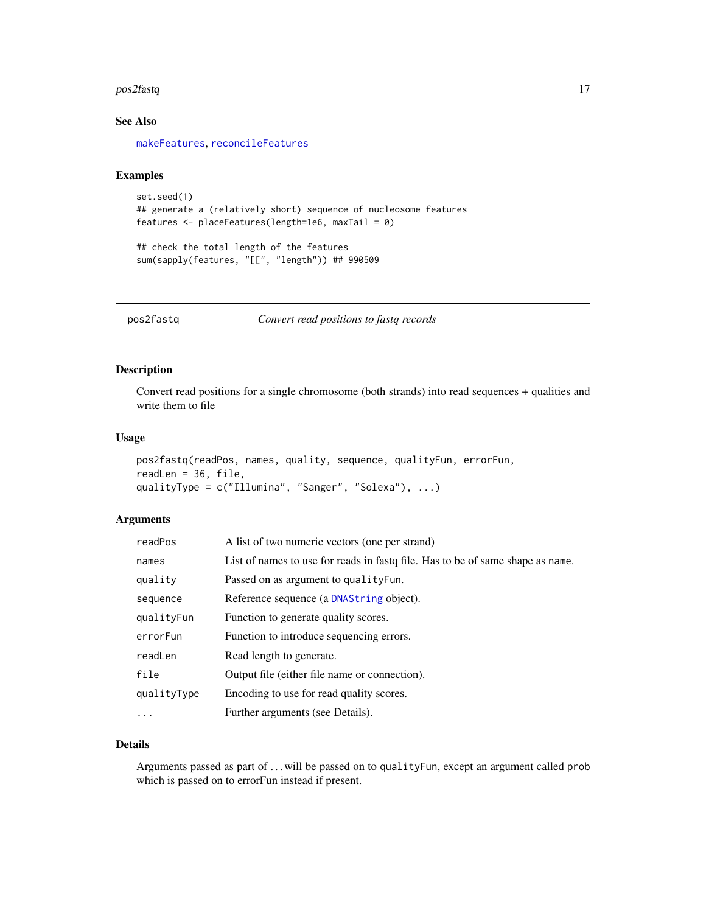#### <span id="page-16-0"></span>pos2fastq 17

#### See Also

[makeFeatures](#page-13-1), [reconcileFeatures](#page-20-1)

#### Examples

```
set.seed(1)
## generate a (relatively short) sequence of nucleosome features
features <- placeFeatures(length=1e6, maxTail = 0)
```
## check the total length of the features sum(sapply(features, "[[", "length")) ## 990509

<span id="page-16-1"></span>pos2fastq *Convert read positions to fastq records*

#### Description

Convert read positions for a single chromosome (both strands) into read sequences + qualities and write them to file

#### Usage

```
pos2fastq(readPos, names, quality, sequence, qualityFun, errorFun,
readLen = 36, file,
qualityType = c("Illumina", "Sanger", "Solexa"), ...)
```
#### Arguments

| readPos     | A list of two numeric vectors (one per strand)                                 |
|-------------|--------------------------------------------------------------------------------|
| names       | List of names to use for reads in fast of he. Has to be of same shape as name. |
| quality     | Passed on as argument to quality Fun.                                          |
| sequence    | Reference sequence (a DNAString object).                                       |
| qualityFun  | Function to generate quality scores.                                           |
| errorFun    | Function to introduce sequencing errors.                                       |
| readLen     | Read length to generate.                                                       |
| file        | Output file (either file name or connection).                                  |
| qualityType | Encoding to use for read quality scores.                                       |
| $\cdots$    | Further arguments (see Details).                                               |

#### Details

Arguments passed as part of . . . will be passed on to qualityFun, except an argument called prob which is passed on to errorFun instead if present.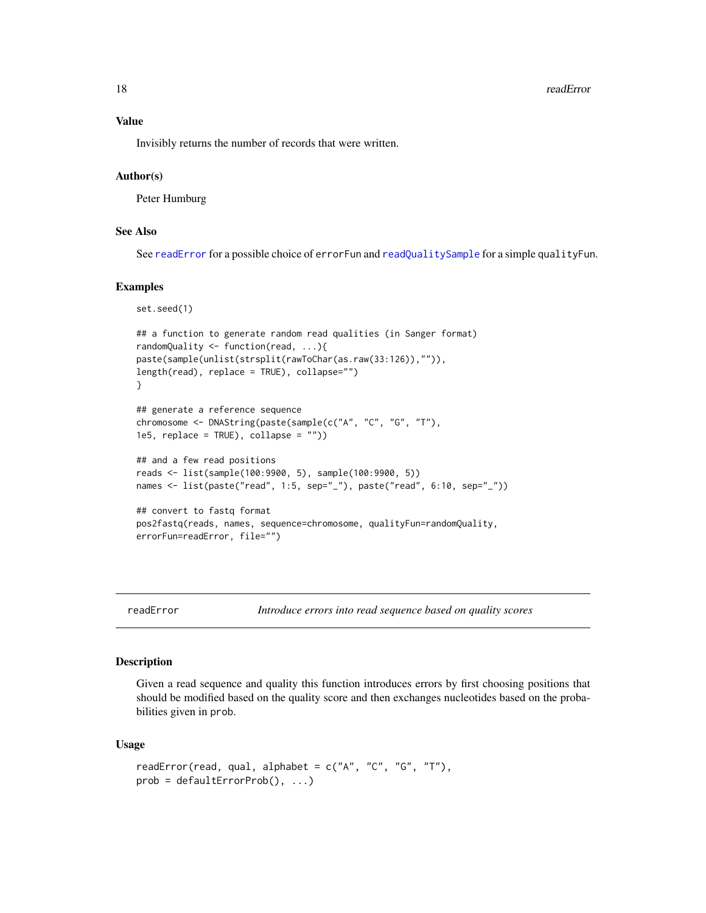<span id="page-17-0"></span>18 readError readers and the set of the set of the set of the set of the set of the set of the set of the set of the set of the set of the set of the set of the set of the set of the set of the set of the set of the set of

#### Value

Invisibly returns the number of records that were written.

#### Author(s)

Peter Humburg

#### See Also

See [readError](#page-17-1) for a possible choice of errorFun and [readQualitySample](#page-19-1) for a simple qualityFun.

#### Examples

```
set.seed(1)
## a function to generate random read qualities (in Sanger format)
randomQuality <- function(read, ...){
paste(sample(unlist(strsplit(rawToChar(as.raw(33:126)),"")),
length(read), replace = TRUE), collapse="")
}
## generate a reference sequence
chromosome <- DNAString(paste(sample(c("A", "C", "G", "T"),
1e5, replace = TRUE), collapse = "")## and a few read positions
reads <- list(sample(100:9900, 5), sample(100:9900, 5))
names <- list(paste("read", 1:5, sep="_"), paste("read", 6:10, sep="_"))
## convert to fastq format
pos2fastq(reads, names, sequence=chromosome, qualityFun=randomQuality,
errorFun=readError, file="")
```
<span id="page-17-1"></span>readError *Introduce errors into read sequence based on quality scores*

#### Description

Given a read sequence and quality this function introduces errors by first choosing positions that should be modified based on the quality score and then exchanges nucleotides based on the probabilities given in prob.

#### Usage

```
readError(read, qual, alphabet = c("A", "C", "G", "T"),prob = defaultErrorProb(), ...)
```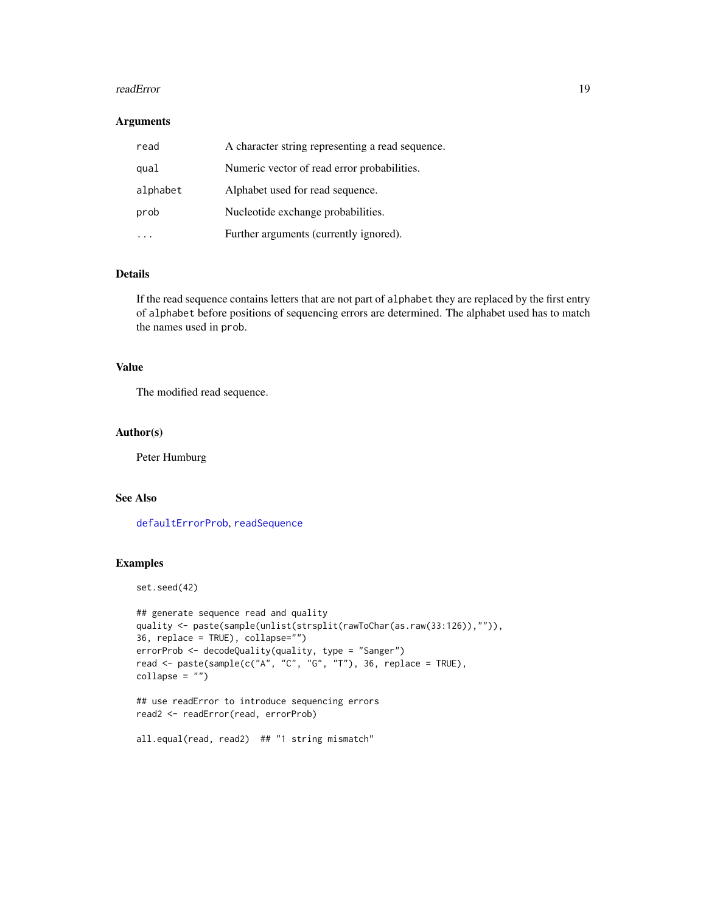#### <span id="page-18-0"></span>readError that the contract of the contract of the contract of the contract of the contract of the contract of the contract of the contract of the contract of the contract of the contract of the contract of the contract of

#### Arguments

| read     | A character string representing a read sequence. |
|----------|--------------------------------------------------|
| qual     | Numeric vector of read error probabilities.      |
| alphabet | Alphabet used for read sequence.                 |
| prob     | Nucleotide exchange probabilities.               |
|          | Further arguments (currently ignored).           |

#### Details

If the read sequence contains letters that are not part of alphabet they are replaced by the first entry of alphabet before positions of sequencing errors are determined. The alphabet used has to match the names used in prob.

#### Value

The modified read sequence.

#### Author(s)

Peter Humburg

#### See Also

[defaultErrorProb](#page-5-1), [readSequence](#page-19-2)

#### Examples

set.seed(42)

```
## generate sequence read and quality
quality <- paste(sample(unlist(strsplit(rawToChar(as.raw(33:126)),"")),
36, replace = TRUE), collapse="")
errorProb <- decodeQuality(quality, type = "Sanger")
read <- paste(sample(c("A", "C", "G", "T"), 36, replace = TRUE),
collapse = "")
```

```
## use readError to introduce sequencing errors
read2 <- readError(read, errorProb)
```

```
all.equal(read, read2) ## "1 string mismatch"
```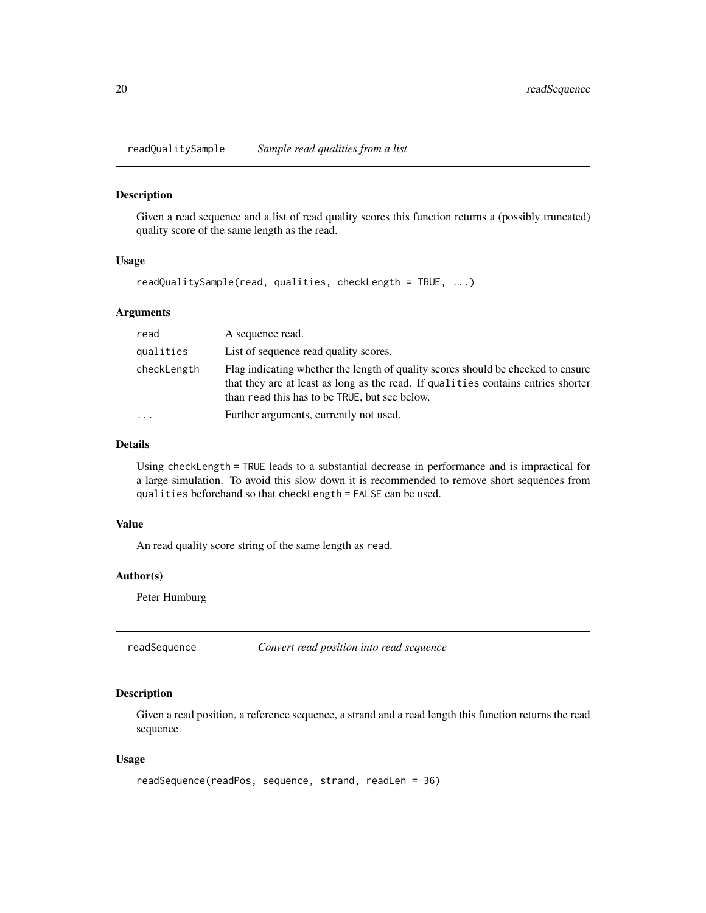<span id="page-19-1"></span><span id="page-19-0"></span>readQualitySample *Sample read qualities from a list*

#### Description

Given a read sequence and a list of read quality scores this function returns a (possibly truncated) quality score of the same length as the read.

#### Usage

readQualitySample(read, qualities, checkLength = TRUE, ...)

#### Arguments

| read                    | A sequence read.                                                                                                                                                                                                       |
|-------------------------|------------------------------------------------------------------------------------------------------------------------------------------------------------------------------------------------------------------------|
| qualities               | List of sequence read quality scores.                                                                                                                                                                                  |
| checkLength             | Flag indicating whether the length of quality scores should be checked to ensure<br>that they are at least as long as the read. If qualities contains entries shorter<br>than read this has to be TRUE, but see below. |
| $\cdot$ $\cdot$ $\cdot$ | Further arguments, currently not used.                                                                                                                                                                                 |

#### Details

Using checkLength = TRUE leads to a substantial decrease in performance and is impractical for a large simulation. To avoid this slow down it is recommended to remove short sequences from qualities beforehand so that checkLength = FALSE can be used.

#### Value

An read quality score string of the same length as read.

#### Author(s)

Peter Humburg

<span id="page-19-2"></span>readSequence *Convert read position into read sequence*

#### Description

Given a read position, a reference sequence, a strand and a read length this function returns the read sequence.

#### Usage

```
readSequence(readPos, sequence, strand, readLen = 36)
```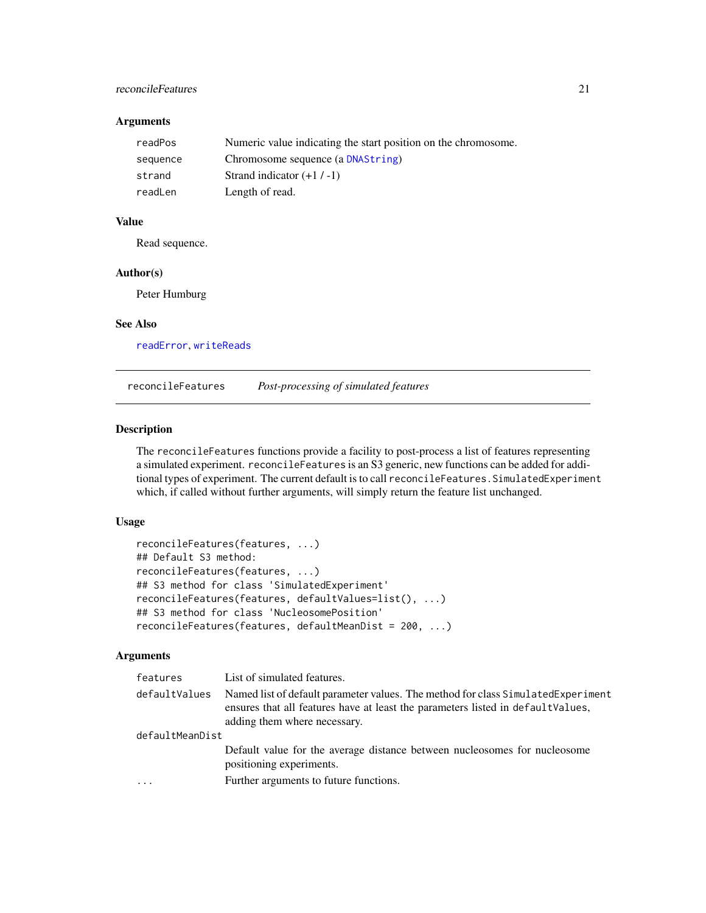#### <span id="page-20-0"></span>reconcileFeatures 21

#### Arguments

| readPos  | Numeric value indicating the start position on the chromosome. |
|----------|----------------------------------------------------------------|
| sequence | Chromosome sequence (a DNAString)                              |
| strand   | Strand indicator $(+1/-1)$                                     |
| readLen  | Length of read.                                                |

#### Value

Read sequence.

#### Author(s)

Peter Humburg

#### See Also

[readError](#page-17-1), [writeReads](#page-26-1)

<span id="page-20-1"></span>reconcileFeatures *Post-processing of simulated features*

#### Description

The reconcileFeatures functions provide a facility to post-process a list of features representing a simulated experiment. reconcileFeatures is an S3 generic, new functions can be added for additional types of experiment. The current default is to call reconcileFeatures. SimulatedExperiment which, if called without further arguments, will simply return the feature list unchanged.

#### Usage

```
reconcileFeatures(features, ...)
## Default S3 method:
reconcileFeatures(features, ...)
## S3 method for class 'SimulatedExperiment'
reconcileFeatures(features, defaultValues=list(), ...)
## S3 method for class 'NucleosomePosition'
reconcileFeatures(features, defaultMeanDist = 200, ...)
```
#### Arguments

| features        | List of simulated features.                                                                                                                                                                          |  |
|-----------------|------------------------------------------------------------------------------------------------------------------------------------------------------------------------------------------------------|--|
| defaultValues   | Named list of default parameter values. The method for class Simulated Experiment<br>ensures that all features have at least the parameters listed in defaultValues,<br>adding them where necessary. |  |
| defaultMeanDist |                                                                                                                                                                                                      |  |
|                 | Default value for the average distance between nucleosomes for nucleosome<br>positioning experiments.                                                                                                |  |
| .               | Further arguments to future functions.                                                                                                                                                               |  |
|                 |                                                                                                                                                                                                      |  |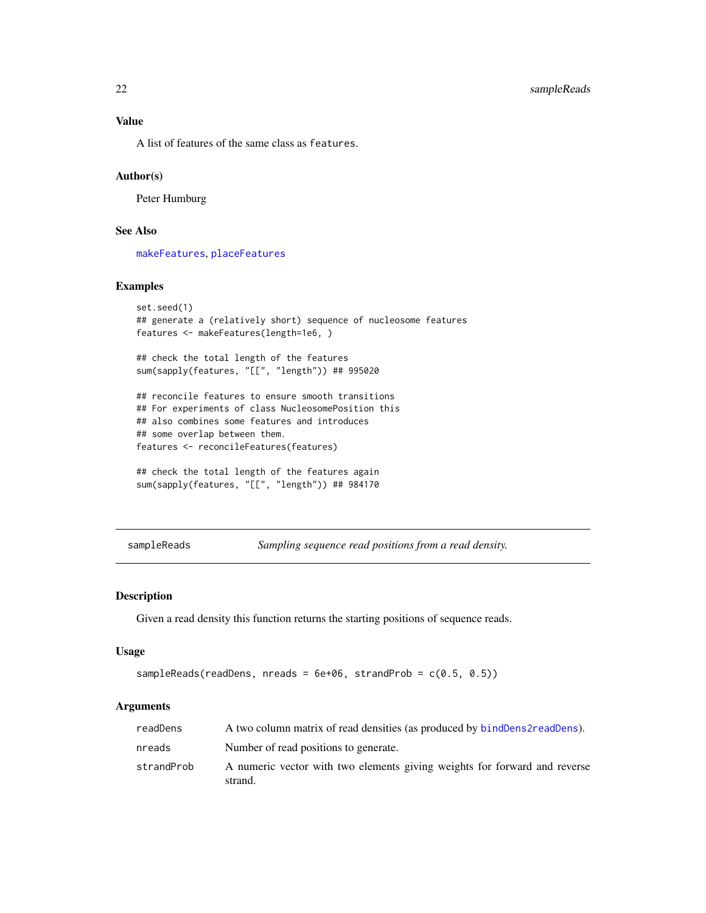<span id="page-21-0"></span>A list of features of the same class as features.

#### Author(s)

Peter Humburg

#### See Also

[makeFeatures](#page-13-1), [placeFeatures](#page-15-1)

#### Examples

```
set.seed(1)
## generate a (relatively short) sequence of nucleosome features
features <- makeFeatures(length=1e6, )
## check the total length of the features
sum(sapply(features, "[[", "length")) ## 995020
## reconcile features to ensure smooth transitions
## For experiments of class NucleosomePosition this
## also combines some features and introduces
## some overlap between them.
features <- reconcileFeatures(features)
## check the total length of the features again
sum(sapply(features, "[[", "length")) ## 984170
```
<span id="page-21-1"></span>sampleReads *Sampling sequence read positions from a read density.*

#### Description

Given a read density this function returns the starting positions of sequence reads.

#### Usage

```
sampleReads(readDens, nreads = 6e+06, strandProb = c(0.5, 0.5))
```
#### Arguments

| readDens   | A two column matrix of read densities (as produced by bind Dens 2 read Dens).        |
|------------|--------------------------------------------------------------------------------------|
| nreads     | Number of read positions to generate.                                                |
| strandProb | A numeric vector with two elements giving weights for forward and reverse<br>strand. |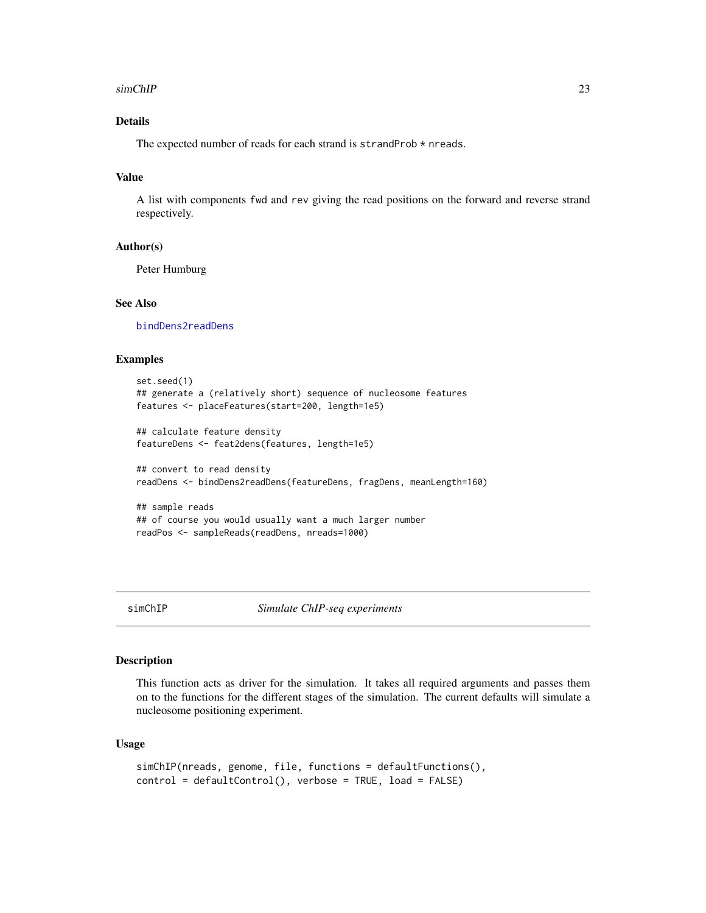#### <span id="page-22-0"></span>simChIP 23

#### Details

The expected number of reads for each strand is strandProb \* nreads.

#### Value

A list with components fwd and rev giving the read positions on the forward and reverse strand respectively.

#### Author(s)

Peter Humburg

#### See Also

[bindDens2readDens](#page-2-1)

#### Examples

```
set.seed(1)
## generate a (relatively short) sequence of nucleosome features
features <- placeFeatures(start=200, length=1e5)
## calculate feature density
featureDens <- feat2dens(features, length=1e5)
## convert to read density
readDens <- bindDens2readDens(featureDens, fragDens, meanLength=160)
## sample reads
```

```
## of course you would usually want a much larger number
readPos <- sampleReads(readDens, nreads=1000)
```
#### <span id="page-22-1"></span>simChIP *Simulate ChIP-seq experiments*

#### Description

This function acts as driver for the simulation. It takes all required arguments and passes them on to the functions for the different stages of the simulation. The current defaults will simulate a nucleosome positioning experiment.

#### Usage

```
simChIP(nreads, genome, file, functions = defaultFunctions(),
control = defaultControl(), verbose = TRUE, load = FALSE)
```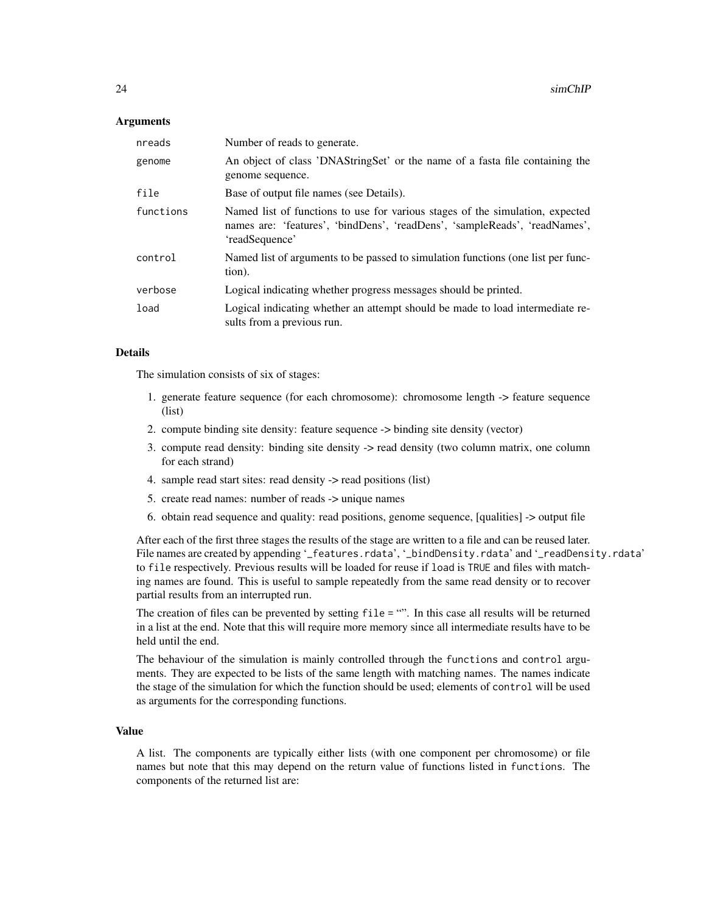#### Arguments

| nreads    | Number of reads to generate.                                                                                                                                                  |
|-----------|-------------------------------------------------------------------------------------------------------------------------------------------------------------------------------|
| genome    | An object of class 'DNAStringSet' or the name of a fasta file containing the<br>genome sequence.                                                                              |
| file      | Base of output file names (see Details).                                                                                                                                      |
| functions | Named list of functions to use for various stages of the simulation, expected<br>names are: 'features', 'bindDens', 'readDens', 'sampleReads', 'readNames',<br>'readSequence' |
| control   | Named list of arguments to be passed to simulation functions (one list per func-<br>tion).                                                                                    |
| verbose   | Logical indicating whether progress messages should be printed.                                                                                                               |
| load      | Logical indicating whether an attempt should be made to load intermediate re-<br>sults from a previous run.                                                                   |

#### Details

The simulation consists of six of stages:

- 1. generate feature sequence (for each chromosome): chromosome length -> feature sequence (list)
- 2. compute binding site density: feature sequence -> binding site density (vector)
- 3. compute read density: binding site density -> read density (two column matrix, one column for each strand)
- 4. sample read start sites: read density -> read positions (list)
- 5. create read names: number of reads -> unique names
- 6. obtain read sequence and quality: read positions, genome sequence, [qualities] -> output file

After each of the first three stages the results of the stage are written to a file and can be reused later. File names are created by appending '\_features.rdata', '\_bindDensity.rdata' and '\_readDensity.rdata' to file respectively. Previous results will be loaded for reuse if load is TRUE and files with matching names are found. This is useful to sample repeatedly from the same read density or to recover partial results from an interrupted run.

The creation of files can be prevented by setting file = "". In this case all results will be returned in a list at the end. Note that this will require more memory since all intermediate results have to be held until the end.

The behaviour of the simulation is mainly controlled through the functions and control arguments. They are expected to be lists of the same length with matching names. The names indicate the stage of the simulation for which the function should be used; elements of control will be used as arguments for the corresponding functions.

#### Value

A list. The components are typically either lists (with one component per chromosome) or file names but note that this may depend on the return value of functions listed in functions. The components of the returned list are: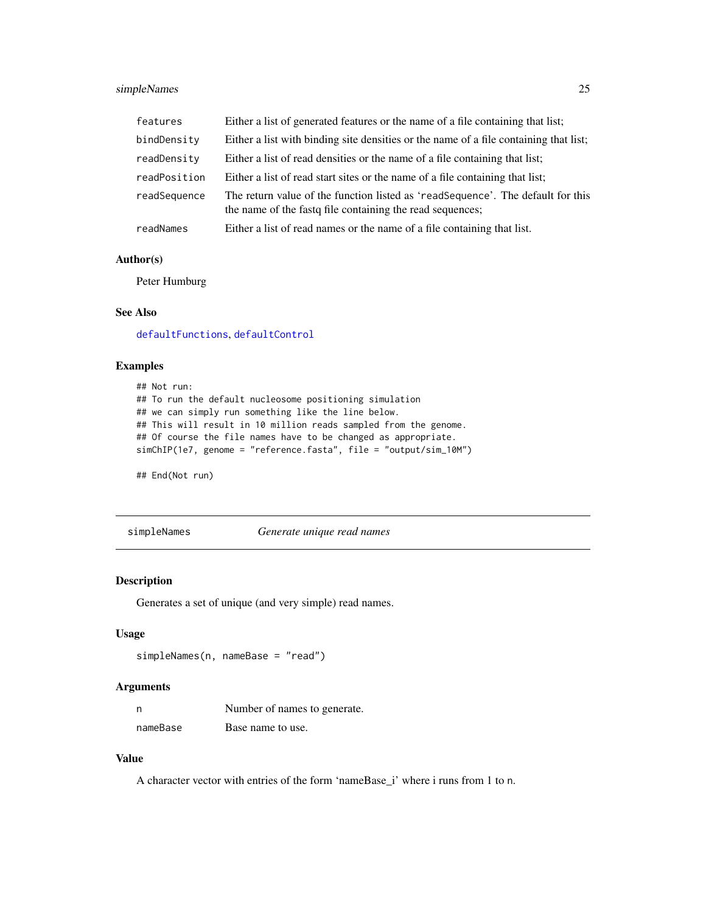#### <span id="page-24-0"></span>simpleNames 25

| features     | Either a list of generated features or the name of a file containing that list;                                                              |
|--------------|----------------------------------------------------------------------------------------------------------------------------------------------|
| bindDensity  | Either a list with binding site densities or the name of a file containing that list;                                                        |
| readDensity  | Either a list of read densities or the name of a file containing that list;                                                                  |
| readPosition | Either a list of read start sites or the name of a file containing that list;                                                                |
| readSequence | The return value of the function listed as 'readSequence'. The default for this<br>the name of the fast  file containing the read sequences; |
| readNames    | Either a list of read names or the name of a file containing that list.                                                                      |

#### Author(s)

Peter Humburg

#### See Also

[defaultFunctions](#page-6-1), [defaultControl](#page-4-1)

#### Examples

```
## Not run:
## To run the default nucleosome positioning simulation
## we can simply run something like the line below.
## This will result in 10 million reads sampled from the genome.
## Of course the file names have to be changed as appropriate.
simChIP(1e7, genome = "reference.fasta", file = "output/sim_10M")
```
## End(Not run)

<span id="page-24-1"></span>simpleNames *Generate unique read names*

#### Description

Generates a set of unique (and very simple) read names.

#### Usage

```
simpleNames(n, nameBase = "read")
```
#### Arguments

| n        | Number of names to generate. |
|----------|------------------------------|
| nameBase | Base name to use.            |

#### Value

A character vector with entries of the form 'nameBase\_i' where i runs from 1 to n.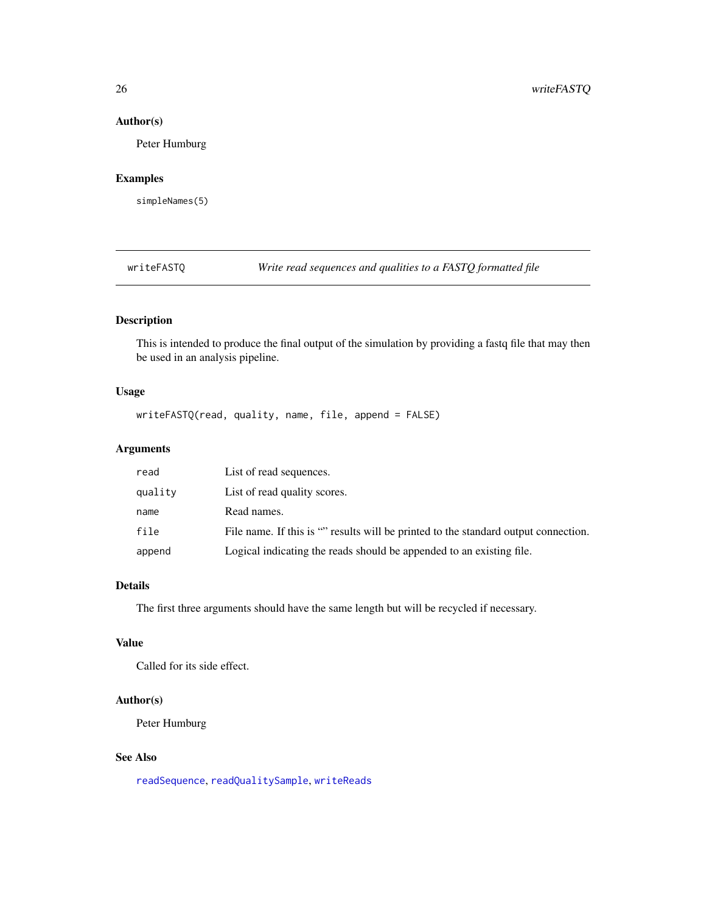#### Author(s)

Peter Humburg

#### Examples

simpleNames(5)

writeFASTQ *Write read sequences and qualities to a FASTQ formatted file*

#### Description

This is intended to produce the final output of the simulation by providing a fastq file that may then be used in an analysis pipeline.

#### Usage

writeFASTQ(read, quality, name, file, append = FALSE)

#### Arguments

| read    | List of read sequences.                                                             |
|---------|-------------------------------------------------------------------------------------|
| quality | List of read quality scores.                                                        |
| name    | Read names.                                                                         |
| file    | File name. If this is "" results will be printed to the standard output connection. |
| append  | Logical indicating the reads should be appended to an existing file.                |

#### Details

The first three arguments should have the same length but will be recycled if necessary.

#### Value

Called for its side effect.

#### Author(s)

Peter Humburg

#### See Also

[readSequence](#page-19-2), [readQualitySample](#page-19-1), [writeReads](#page-26-1)

<span id="page-25-0"></span>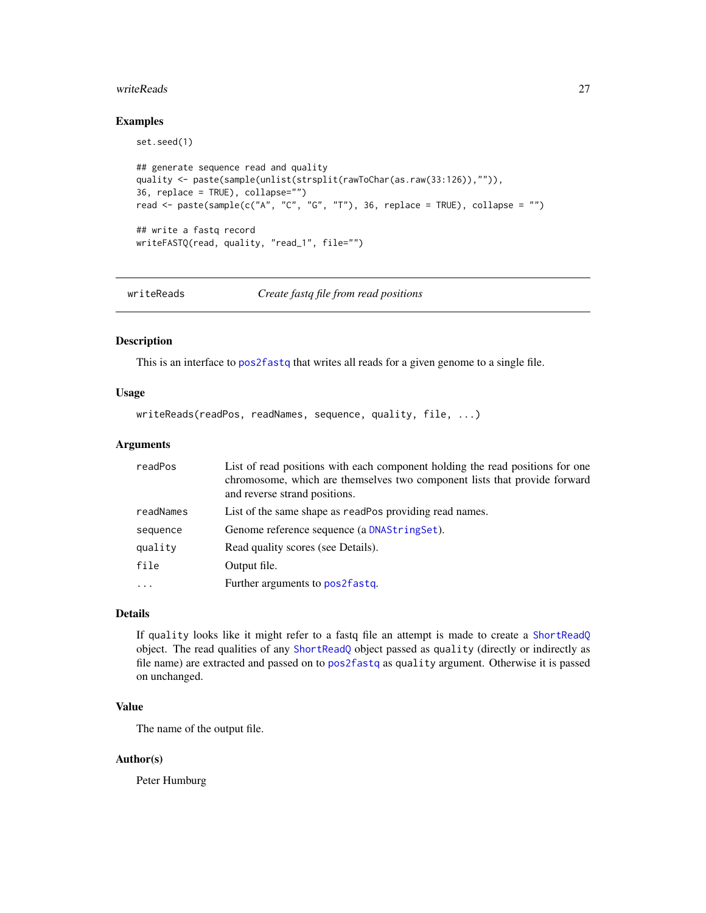#### <span id="page-26-0"></span>writeReads 27

#### Examples

```
set.seed(1)
## generate sequence read and quality
quality <- paste(sample(unlist(strsplit(rawToChar(as.raw(33:126)),"")),
36, replace = TRUE), collapse="")
read <- paste(sample(c("A", "C", "G", "T"), 36, replace = TRUE), collapse = "")
## write a fastq record
writeFASTQ(read, quality, "read_1", file="")
```
<span id="page-26-1"></span>writeReads *Create fastq file from read positions*

#### Description

This is an interface to [pos2fastq](#page-16-1) that writes all reads for a given genome to a single file.

#### Usage

writeReads(readPos, readNames, sequence, quality, file, ...)

#### Arguments

| readPos   | List of read positions with each component holding the read positions for one<br>chromosome, which are themselves two component lists that provide forward<br>and reverse strand positions. |
|-----------|---------------------------------------------------------------------------------------------------------------------------------------------------------------------------------------------|
| readNames | List of the same shape as readPos providing read names.                                                                                                                                     |
| sequence  | Genome reference sequence (a DNAStringSet).                                                                                                                                                 |
| quality   | Read quality scores (see Details).                                                                                                                                                          |
| file      | Output file.                                                                                                                                                                                |
| $\cdot$   | Further arguments to pos2fastq.                                                                                                                                                             |

#### Details

If quality looks like it might refer to a fastq file an attempt is made to create a [ShortReadQ](#page-0-0) object. The read qualities of any [ShortReadQ](#page-0-0) object passed as quality (directly or indirectly as file name) are extracted and passed on to [pos2fastq](#page-16-1) as quality argument. Otherwise it is passed on unchanged.

#### Value

The name of the output file.

#### Author(s)

Peter Humburg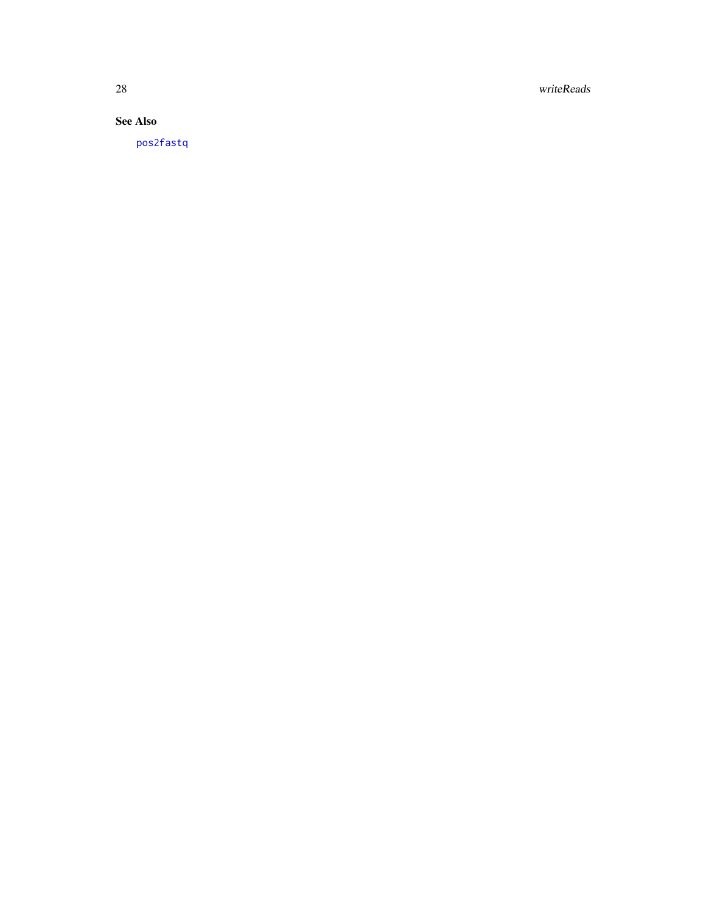<span id="page-27-0"></span>28 writeReads

See Also

[pos2fastq](#page-16-1)